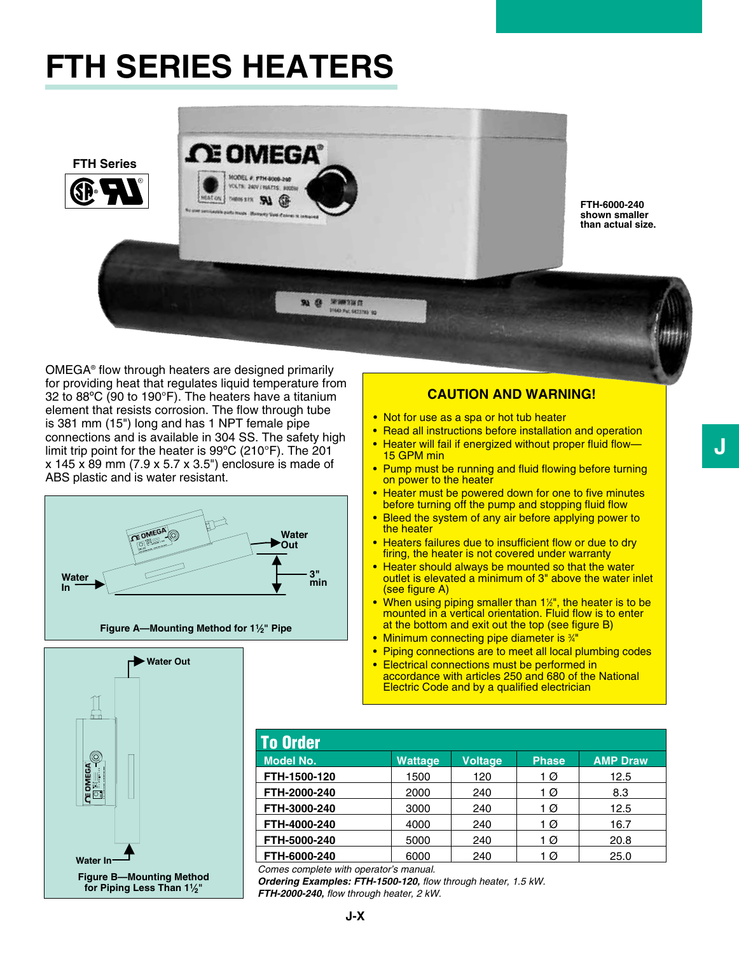## **FTH SERIES HEATERS**



**FTH-6000-240 shown smaller than actual size.**

OMEGA<sup>®</sup> flow through heaters are designed primarily for providing heat that regulates liquid temperature from 32 to 88ºC (90 to 190°F). The heaters have a titanium element that resists corrosion. The flow through tube is 381 mm (15") long and has 1 NPT female pipe connections and is available in 304 SS. The safety high limit trip point for the heater is 99 $^{\circ}$ C (210 $^{\circ}$ F). The 201 x 145 x 89 mm (7.9 x 5.7 x 3.5") enclosure is made of ABS plastic and is water resistant.



## **Caution and warning!**

- Not for use as a spa or hot tub heater
- Read all instructions before installation and operation
- Heater will fail if energized without proper fluid flow— 15 GPM min
- Pump must be running and fluid flowing before turning on power to the heater
- Heater must be powered down for one to five minutes before turning off the pump and stopping fluid flow
- Bleed the system of any air before applying power to the heater
- Heaters failures due to insufficient flow or due to dry firing, the heater is not covered under warranty
- Heater should always be mounted so that the water outlet is elevated a minimum of 3" above the water inlet (see figure A)
- **When using piping smaller than 1**<sup>1/2</sup>, the heater is to be mounted in a vertical orientation. Fluid flow is to enter at the bottom and exit out the top (see figure B)
- Minimum connecting pipe diameter is <sup>3/4"</sup>
- Piping connections are to meet all local plumbing codes
- Electrical connections must be performed in accordance with articles 250 and 680 of the National Electric Code and by a qualified electrician

| <b>To Order</b>  |                |                |              |                 |
|------------------|----------------|----------------|--------------|-----------------|
| <b>Model No.</b> | <b>Wattage</b> | <b>Voltage</b> | <b>Phase</b> | <b>AMP Draw</b> |
| FTH-1500-120     | 1500           | 120            | 1 Ø          | 12.5            |
| FTH-2000-240     | 2000           | 240            | 1 Ø          | 8.3             |
| FTH-3000-240     | 3000           | 240            | 1 Ø          | 12.5            |
| FTH-4000-240     | 4000           | 240            | 1 Ø          | 16.7            |
| FTH-5000-240     | 5000           | 240            | 1 Ø          | 20.8            |
| FTH-6000-240     | 6000           | 240            | 1 Ø          | 25.0            |

*Comes complete with operator's manual.*

*Ordering Examples: FTH-1500-120, flow through heater, 1.5 kW. FTH-2000-240, flow through heater, 2 kW.*